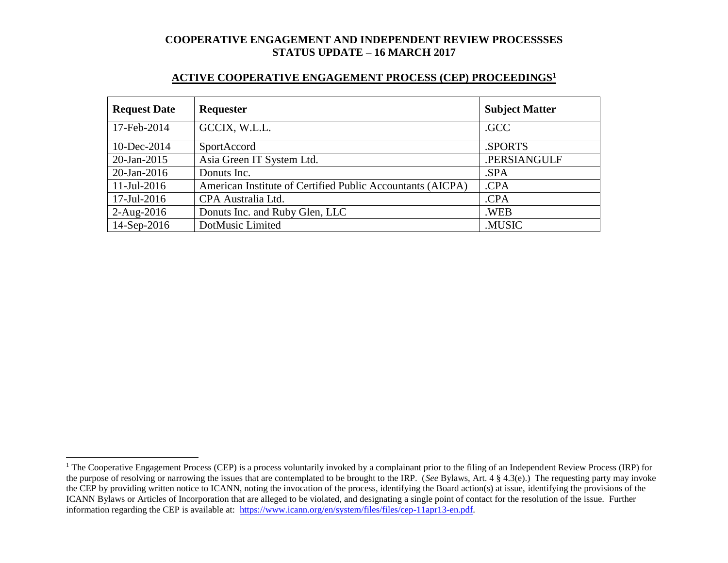### **ACTIVE COOPERATIVE ENGAGEMENT PROCESS (CEP) PROCEEDINGS<sup>1</sup>**

| <b>Request Date</b> | <b>Requester</b>                                           | <b>Subject Matter</b> |
|---------------------|------------------------------------------------------------|-----------------------|
| 17-Feb-2014         | GCCIX, W.L.L.                                              | .GCC                  |
| 10-Dec-2014         | SportAccord                                                | .SPORTS               |
| $20$ -Jan-2015      | Asia Green IT System Ltd.                                  | .PERSIANGULF          |
| $20$ -Jan-2016      | Donuts Inc.                                                | .SPA                  |
| $11$ -Jul-2016      | American Institute of Certified Public Accountants (AICPA) | .CPA                  |
| 17-Jul-2016         | CPA Australia Ltd.                                         | .CPA                  |
| $2-Aug-2016$        | Donuts Inc. and Ruby Glen, LLC                             | .WEB                  |
| 14-Sep-2016         | DotMusic Limited                                           | .MUSIC                |

l

<sup>&</sup>lt;sup>1</sup> The Cooperative Engagement Process (CEP) is a process voluntarily invoked by a complainant prior to the filing of an Independent Review Process (IRP) for the purpose of resolving or narrowing the issues that are contemplated to be brought to the IRP. (*See* Bylaws, Art. 4 § 4.3(e).) The requesting party may invoke the CEP by providing written notice to ICANN, noting the invocation of the process, identifying the Board action(s) at issue, identifying the provisions of the ICANN Bylaws or Articles of Incorporation that are alleged to be violated, and designating a single point of contact for the resolution of the issue. Further information regarding the CEP is available at: [https://www.icann.org/en/system/files/files/cep-11apr13-en.pdf.](https://www.icann.org/en/system/files/files/cep-11apr13-en.pdf)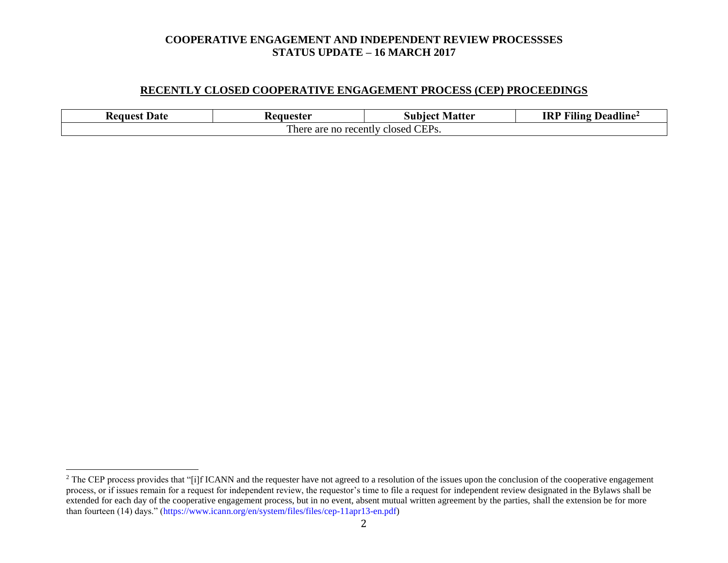### **RECENTLY CLOSED COOPERATIVE ENGAGEMENT PROCESS (CEP) PROCEEDINGS**

| Date<br><b>Request</b>                                        | 'eanester | Matter<br>Subiect | .<br>$T^{\prime\prime}$<br><b>IRP</b><br>Deadline<br>Aling |  |  |
|---------------------------------------------------------------|-----------|-------------------|------------------------------------------------------------|--|--|
| CEP <sub>s</sub> .<br>m,<br>There are no recently<br>closed : |           |                   |                                                            |  |  |

l

<sup>&</sup>lt;sup>2</sup> The CEP process provides that "[i]f ICANN and the requester have not agreed to a resolution of the issues upon the conclusion of the cooperative engagement process, or if issues remain for a request for independent review, the requestor's time to file a request for independent review designated in the Bylaws shall be extended for each day of the cooperative engagement process, but in no event, absent mutual written agreement by the parties, shall the extension be for more than fourteen (14) days." (https://www.icann.org/en/system/files/files/cep-11apr13-en.pdf)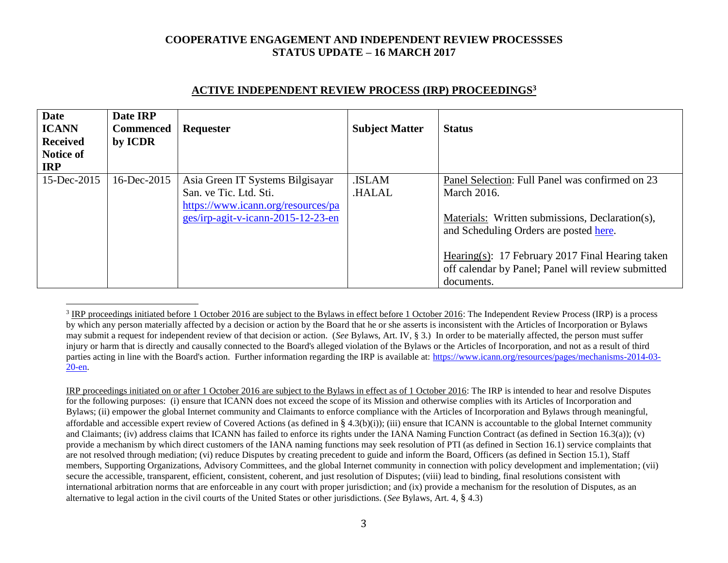| <b>Date</b><br><b>ICANN</b><br><b>Received</b><br><b>Notice of</b><br><b>IRP</b> | Date IRP<br><b>Commenced</b><br>by ICDR | Requester                                                                                                                              | <b>Subject Matter</b>  | <b>Status</b>                                                                                                                                                      |
|----------------------------------------------------------------------------------|-----------------------------------------|----------------------------------------------------------------------------------------------------------------------------------------|------------------------|--------------------------------------------------------------------------------------------------------------------------------------------------------------------|
| 15-Dec-2015                                                                      | 16-Dec-2015                             | Asia Green IT Systems Bilgisayar<br>San. ve Tic. Ltd. Sti.<br>https://www.icann.org/resources/pa<br>ges/irp-agit-v-icann-2015-12-23-en | .ISLAM<br><b>HALAL</b> | Panel Selection: Full Panel was confirmed on 23<br><b>March 2016.</b><br>Materials: Written submissions, Declaration(s),<br>and Scheduling Orders are posted here. |
|                                                                                  |                                         |                                                                                                                                        |                        | Hearing(s): 17 February 2017 Final Hearing taken<br>off calendar by Panel; Panel will review submitted<br>documents.                                               |

#### **ACTIVE INDEPENDENT REVIEW PROCESS (IRP) PROCEEDINGS<sup>3</sup>**

 $\overline{a}$ 

IRP proceedings initiated on or after 1 October 2016 are subject to the Bylaws in effect as of 1 October 2016: The IRP is intended to hear and resolve Disputes for the following purposes: (i) ensure that ICANN does not exceed the scope of its Mission and otherwise complies with its Articles of Incorporation and Bylaws; (ii) empower the global Internet community and Claimants to enforce compliance with the Articles of Incorporation and Bylaws through meaningful, affordable and accessible expert review of Covered Actions (as defined in § 4.3(b)(i)); (iii) ensure that ICANN is accountable to the global Internet community and Claimants; (iv) address claims that ICANN has failed to enforce its rights under the IANA Naming Function Contract (as defined in Section 16.3(a)); (v) provide a mechanism by which direct customers of the IANA naming functions may seek resolution of PTI (as defined in Section 16.1) service complaints that are not resolved through mediation; (vi) reduce Disputes by creating precedent to guide and inform the Board, Officers (as defined in Section 15.1), Staff members, Supporting Organizations, Advisory Committees, and the global Internet community in connection with policy development and implementation; (vii) secure the accessible, transparent, efficient, consistent, coherent, and just resolution of Disputes; (viii) lead to binding, final resolutions consistent with international arbitration norms that are enforceable in any court with proper jurisdiction; and (ix) provide a mechanism for the resolution of Disputes, as an alternative to legal action in the civil courts of the United States or other jurisdictions. (*See* Bylaws, Art. 4, § 4.3)

 $3$  IRP proceedings initiated before 1 October 2016 are subject to the Bylaws in effect before 1 October 2016: The Independent Review Process (IRP) is a process by which any person materially affected by a decision or action by the Board that he or she asserts is inconsistent with the Articles of Incorporation or Bylaws may submit a request for independent review of that decision or action. (*See* Bylaws, Art. IV, § 3.) In order to be materially affected, the person must suffer injury or harm that is directly and causally connected to the Board's alleged violation of the Bylaws or the Articles of Incorporation, and not as a result of third parties acting in line with the Board's action. Further information regarding the IRP is available at: [https://www.icann.org/resources/pages/mechanisms-2014-03-](https://www.icann.org/resources/pages/mechanisms-2014-03-20-en) [20-en.](https://www.icann.org/resources/pages/mechanisms-2014-03-20-en)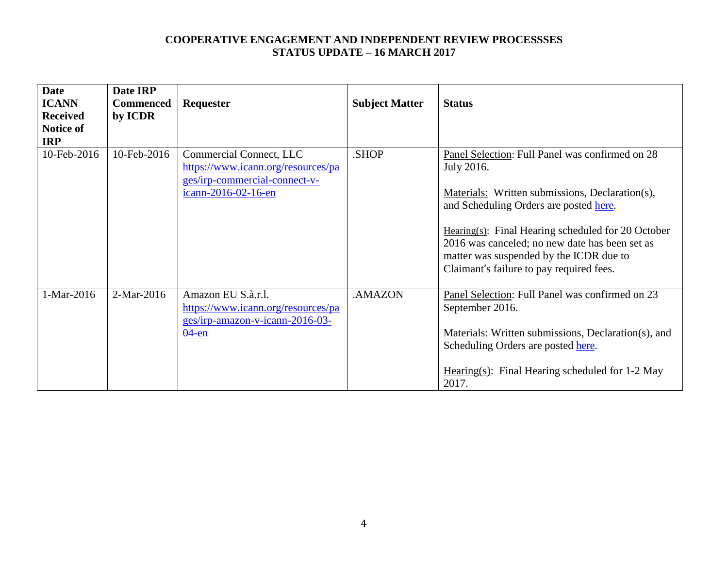| <b>Date</b>     | Date IRP         |                                                                                             |                       |                                                                                                                                                                                                 |
|-----------------|------------------|---------------------------------------------------------------------------------------------|-----------------------|-------------------------------------------------------------------------------------------------------------------------------------------------------------------------------------------------|
| <b>ICANN</b>    | <b>Commenced</b> | <b>Requester</b>                                                                            | <b>Subject Matter</b> | <b>Status</b>                                                                                                                                                                                   |
| <b>Received</b> | by ICDR          |                                                                                             |                       |                                                                                                                                                                                                 |
| Notice of       |                  |                                                                                             |                       |                                                                                                                                                                                                 |
| <b>IRP</b>      |                  |                                                                                             |                       |                                                                                                                                                                                                 |
| 10-Feb-2016     | 10-Feb-2016      | Commercial Connect, LLC<br>https://www.icann.org/resources/pa                               | .SHOP                 | Panel Selection: Full Panel was confirmed on 28<br>July 2016.                                                                                                                                   |
|                 |                  | ges/irp-commercial-connect-v-<br>icann-2016-02-16-en                                        |                       | Materials: Written submissions, Declaration(s),<br>and Scheduling Orders are posted here.                                                                                                       |
|                 |                  |                                                                                             |                       | Hearing $(s)$ : Final Hearing scheduled for 20 October<br>2016 was canceled; no new date has been set as<br>matter was suspended by the ICDR due to<br>Claimant's failure to pay required fees. |
| 1-Mar-2016      | 2-Mar-2016       | Amazon EU S.à.r.l.<br>https://www.icann.org/resources/pa<br>ges/irp-amazon-v-icann-2016-03- | .AMAZON               | Panel Selection: Full Panel was confirmed on 23<br>September 2016.                                                                                                                              |
|                 |                  | $04$ -en                                                                                    |                       | Materials: Written submissions, Declaration(s), and<br>Scheduling Orders are posted here.                                                                                                       |
|                 |                  |                                                                                             |                       | Hearing(s): Final Hearing scheduled for 1-2 May<br>2017.                                                                                                                                        |